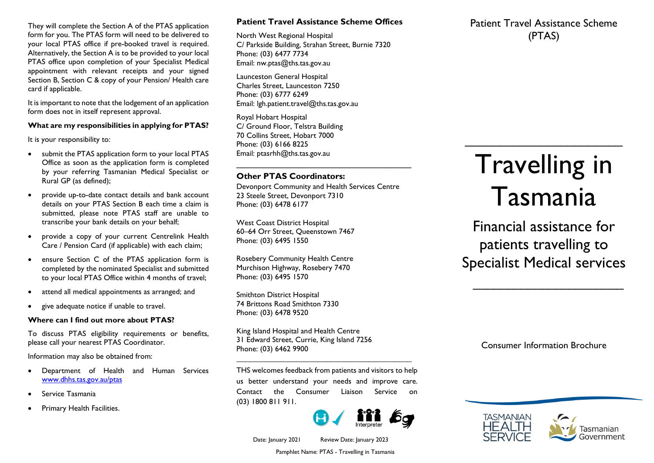They will complete the Section A of the PTAS application form for you. The PTAS form will need to be delivered to your local PTAS office if pre-booked travel is required. Alternatively, the Section A is to be provided to your local PTAS office upon completion of your Specialist Medical appointment with relevant receipts and your signed Section B, Section C & copy of your Pension/ Health care card if applicable.

It is important to note that the lodgement of an application form does not in itself represent approval.

### **What are my responsibilities in applying for PTAS?**

It is your responsibility to:

- submit the PTAS application form to your local PTAS Office as soon as the application form is completed by your referring Tasmanian Medical Specialist or Rural GP (as defined);
- provide up-to-date contact details and bank account details on your PTAS Section B each time a claim is submitted, please note PTAS staff are unable to transcribe your bank details on your behalf;
- provide a copy of your current Centrelink Health Care / Pension Card (if applicable) with each claim;
- ensure Section C of the PTAS application form is completed by the nominated Specialist and submitted to your local PTAS Office within 4 months of travel;
- attend all medical appointments as arranged; and
- give adequate notice if unable to travel.

#### **Where can I find out more about PTAS?**

To discuss PTAS eligibility requirements or benefits, please call your nearest PTAS Coordinator.

Information may also be obtained from:

- Department of Health and Human Services [www.dhhs.tas.gov.au/ptas](http://www.dhhs.tas.gov.au/ptas)
- Service Tasmania
- Primary Health Facilities.

# **Patient Travel Assistance Scheme Offices**

North West Regional Hospital C/ Parkside Building, Strahan Street, Burnie 7320 Phone: (03) 6477 7734 Email: [nw.ptas@ths.tas.gov.au](mailto:nw.ptas@ths.tas.gov.au)

Launceston General Hospital Charles Street, Launceston 7250 Phone: (03) 6777 6249 Email: [lgh.patient.travel@ths.tas.gov.au](mailto:lgh.patient.travel@ths.tas.gov.au) 

Royal Hobart Hospital C/ Ground Floor, Telstra Building 70 Collins Street, Hobart 7000 Phone: (03) 6166 8225 Email: [ptasrhh@ths.tas.gov.au](mailto:ptasrhh@ths.tas.gov.au)

# **Other PTAS Coordinators:**

Devonport Community and Health Services Centre 23 Steele Street, Devonport 7310 Phone: (03) 6478 6177

\_\_\_\_\_\_\_\_\_\_\_\_\_\_\_\_\_\_\_\_\_\_\_\_\_\_\_\_\_\_\_\_\_\_

West Coast District Hospital 60–64 Orr Street, Queenstown 7467 Phone: (03) 6495 1550

Rosebery Community Health Centre Murchison Highway, Rosebery 7470 Phone: (03) 6495 1570

Smithton District Hospital 74 Brittons Road Smithton 7330 Phone: (03) 6478 9520

King Island Hospital and Health Centre 31 Edward Street, Currie, King Island 7256 Phone: (03) 6462 9900

THS welcomes feedback from patients and visitors to help us better understand your needs and improve care. Contact the Consumer Liaison Service on (03) 1800 811 911.

*\_\_\_\_\_\_\_\_\_\_\_\_\_\_\_\_\_\_\_\_\_\_\_\_\_\_\_\_\_\_\_\_\_\_\_\_\_\_\_\_\_*



Patient Travel Assistance Scheme (PTAS)

# Travelling in Tasmania

 $\overline{\phantom{a}}$  , where  $\overline{\phantom{a}}$  , where  $\overline{\phantom{a}}$  , where  $\overline{\phantom{a}}$ 

Financial assistance for patients travelling to Specialist Medical services

 $\mathcal{L}=\mathcal{L}^{\mathcal{L}}$ 

Consumer Information Brochure





Date: January 2021 Review Date: January 2023

Pamphlet Name: PTAS - Travelling in Tasmania